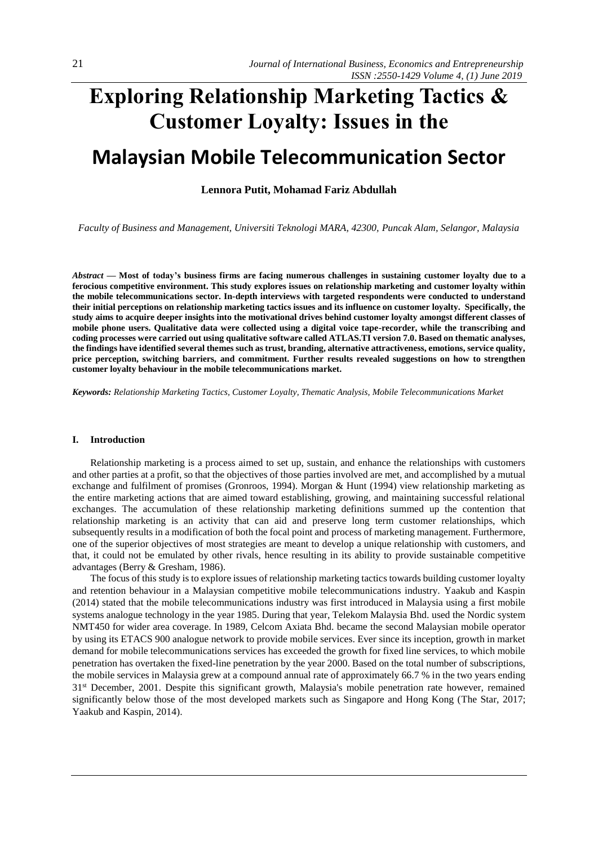# **Exploring Relationship Marketing Tactics & Customer Loyalty: Issues in the**

# **Malaysian Mobile Telecommunication Sector**

# **Lennora Putit, Mohamad Fariz Abdullah**

*Faculty of Business and Management, Universiti Teknologi MARA, 42300, Puncak Alam, Selangor, Malaysia*

*Abstract —* **Most of today's business firms are facing numerous challenges in sustaining customer loyalty due to a ferocious competitive environment. This study explores issues on relationship marketing and customer loyalty within the mobile telecommunications sector. In-depth interviews with targeted respondents were conducted to understand their initial perceptions on relationship marketing tactics issues and its influence on customer loyalty. Specifically, the study aims to acquire deeper insights into the motivational drives behind customer loyalty amongst different classes of mobile phone users. Qualitative data were collected using a digital voice tape-recorder, while the transcribing and coding processes were carried out using qualitative software called ATLAS.TI version 7.0. Based on thematic analyses, the findings have identified several themes such as trust, branding, alternative attractiveness, emotions, service quality, price perception, switching barriers, and commitment. Further results revealed suggestions on how to strengthen customer loyalty behaviour in the mobile telecommunications market.**

*Keywords: Relationship Marketing Tactics, Customer Loyalty, Thematic Analysis, Mobile Telecommunications Market*

#### **I. Introduction**

Relationship marketing is a process aimed to set up, sustain, and enhance the relationships with customers and other parties at a profit, so that the objectives of those parties involved are met, and accomplished by a mutual exchange and fulfilment of promises (Gronroos, 1994). Morgan & Hunt (1994) view relationship marketing as the entire marketing actions that are aimed toward establishing, growing, and maintaining successful relational exchanges. The accumulation of these relationship marketing definitions summed up the contention that relationship marketing is an activity that can aid and preserve long term customer relationships, which subsequently results in a modification of both the focal point and process of marketing management. Furthermore, one of the superior objectives of most strategies are meant to develop a unique relationship with customers, and that, it could not be emulated by other rivals, hence resulting in its ability to provide sustainable competitive advantages (Berry & Gresham, 1986).

The focus of this study is to explore issues of relationship marketing tactics towards building customer loyalty and retention behaviour in a Malaysian competitive mobile telecommunications industry. Yaakub and Kaspin (2014) stated that the mobile telecommunications industry was first introduced in Malaysia using a first mobile systems analogue technology in the year 1985. During that year, Telekom Malaysia Bhd. used the Nordic system NMT450 for wider area coverage. In 1989, Celcom Axiata Bhd. became the second Malaysian mobile operator by using its ETACS 900 analogue network to provide mobile services. Ever since its inception, growth in market demand for mobile telecommunications services has exceeded the growth for fixed line services, to which mobile penetration has overtaken the fixed-line penetration by the year 2000. Based on the total number of subscriptions, the mobile services in Malaysia grew at a compound annual rate of approximately 66.7 % in the two years ending 31st December, 2001. Despite this significant growth, Malaysia's mobile penetration rate however, remained significantly below those of the most developed markets such as Singapore and Hong Kong (The Star, 2017; Yaakub and Kaspin, 2014).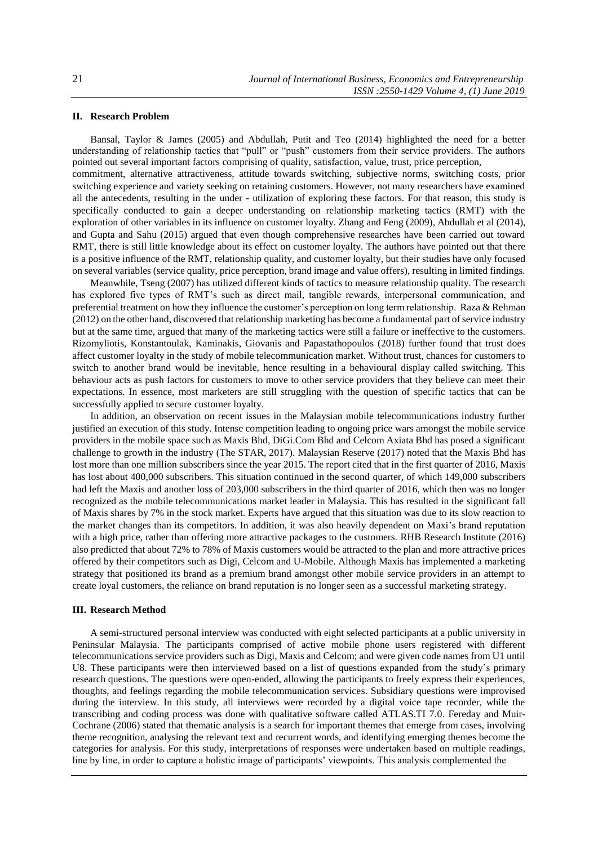# **II. Research Problem**

Bansal, Taylor & James (2005) and Abdullah, Putit and Teo (2014) highlighted the need for a better understanding of relationship tactics that "pull" or "push" customers from their service providers. The authors pointed out several important factors comprising of quality, satisfaction, value, trust, price perception, commitment, alternative attractiveness, attitude towards switching, subjective norms, switching costs, prior switching experience and variety seeking on retaining customers. However, not many researchers have examined all the antecedents, resulting in the under - utilization of exploring these factors. For that reason, this study is specifically conducted to gain a deeper understanding on relationship marketing tactics (RMT) with the exploration of other variables in its influence on customer loyalty. Zhang and Feng (2009), Abdullah et al (2014), and Gupta and Sahu (2015) argued that even though comprehensive researches have been carried out toward RMT, there is still little knowledge about its effect on customer loyalty. The authors have pointed out that there is a positive influence of the RMT, relationship quality, and customer loyalty, but their studies have only focused on several variables (service quality, price perception, brand image and value offers), resulting in limited findings.

Meanwhile, Tseng (2007) has utilized different kinds of tactics to measure relationship quality. The research has explored five types of RMT's such as direct mail, tangible rewards, interpersonal communication, and preferential treatment on how they influence the customer's perception on long term relationship. Raza & Rehman (2012) on the other hand, discovered that relationship marketing has become a fundamental part of service industry but at the same time, argued that many of the marketing tactics were still a failure or ineffective to the customers. Rizomyliotis, Konstantoulak, Kaminakis, Giovanis and Papastathopoulos (2018) further found that trust does affect customer loyalty in the study of mobile telecommunication market. Without trust, chances for customers to switch to another brand would be inevitable, hence resulting in a behavioural display called switching. This behaviour acts as push factors for customers to move to other service providers that they believe can meet their expectations. In essence, most marketers are still struggling with the question of specific tactics that can be successfully applied to secure customer loyalty.

In addition, an observation on recent issues in the Malaysian mobile telecommunications industry further justified an execution of this study. Intense competition leading to ongoing price wars amongst the mobile service providers in the mobile space such as Maxis Bhd, DiGi.Com Bhd and Celcom Axiata Bhd has posed a significant challenge to growth in the industry (The STAR, 2017). Malaysian Reserve (2017) noted that the Maxis Bhd has lost more than one million subscribers since the year 2015. The report cited that in the first quarter of 2016, Maxis has lost about 400,000 subscribers. This situation continued in the second quarter, of which 149,000 subscribers had left the Maxis and another loss of 203,000 subscribers in the third quarter of 2016, which then was no longer recognized as the mobile telecommunications market leader in Malaysia. This has resulted in the significant fall of Maxis shares by 7% in the stock market. Experts have argued that this situation was due to its slow reaction to the market changes than its competitors. In addition, it was also heavily dependent on Maxi's brand reputation with a high price, rather than offering more attractive packages to the customers. RHB Research Institute (2016) also predicted that about 72% to 78% of Maxis customers would be attracted to the plan and more attractive prices offered by their competitors such as Digi, Celcom and U-Mobile. Although Maxis has implemented a marketing strategy that positioned its brand as a premium brand amongst other mobile service providers in an attempt to create loyal customers, the reliance on brand reputation is no longer seen as a successful marketing strategy.

#### **III. Research Method**

A semi-structured personal interview was conducted with eight selected participants at a public university in Peninsular Malaysia. The participants comprised of active mobile phone users registered with different telecommunications service providers such as Digi, Maxis and Celcom; and were given code names from U1 until U8. These participants were then interviewed based on a list of questions expanded from the study's primary research questions. The questions were open-ended, allowing the participants to freely express their experiences, thoughts, and feelings regarding the mobile telecommunication services. Subsidiary questions were improvised during the interview. In this study, all interviews were recorded by a digital voice tape recorder, while the transcribing and coding process was done with qualitative software called ATLAS.TI 7.0. Fereday and Muir-Cochrane (2006) stated that thematic analysis is a search for important themes that emerge from cases, involving theme recognition, analysing the relevant text and recurrent words, and identifying emerging themes become the categories for analysis. For this study, interpretations of responses were undertaken based on multiple readings, line by line, in order to capture a holistic image of participants' viewpoints. This analysis complemented the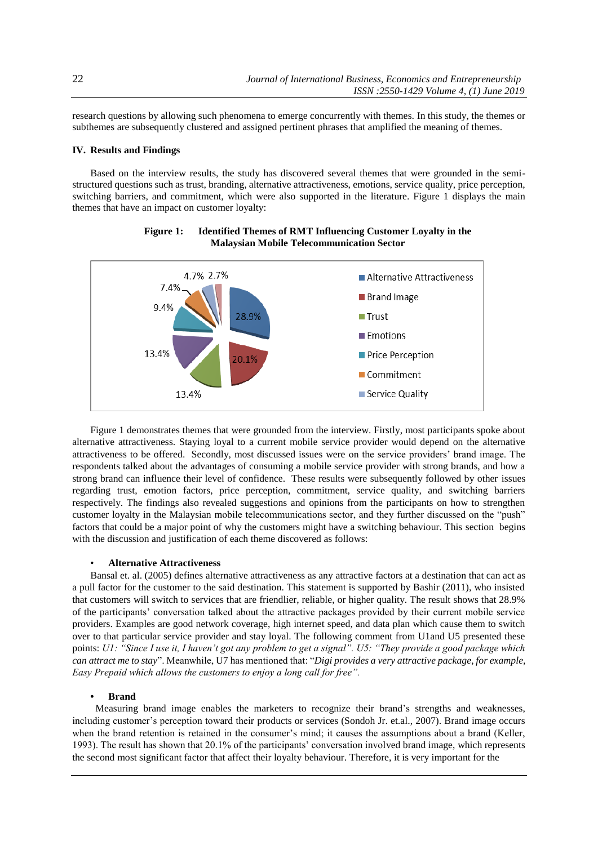research questions by allowing such phenomena to emerge concurrently with themes. In this study, the themes or subthemes are subsequently clustered and assigned pertinent phrases that amplified the meaning of themes.

# **IV. Results and Findings**

Based on the interview results, the study has discovered several themes that were grounded in the semistructured questions such as trust, branding, alternative attractiveness, emotions, service quality, price perception, switching barriers, and commitment, which were also supported in the literature. Figure 1 displays the main themes that have an impact on customer loyalty:



**Figure 1: Identified Themes of RMT Influencing Customer Loyalty in the Malaysian Mobile Telecommunication Sector**

Figure 1 demonstrates themes that were grounded from the interview. Firstly, most participants spoke about alternative attractiveness. Staying loyal to a current mobile service provider would depend on the alternative attractiveness to be offered. Secondly, most discussed issues were on the service providers' brand image. The respondents talked about the advantages of consuming a mobile service provider with strong brands, and how a strong brand can influence their level of confidence. These results were subsequently followed by other issues regarding trust, emotion factors, price perception, commitment, service quality, and switching barriers respectively. The findings also revealed suggestions and opinions from the participants on how to strengthen customer loyalty in the Malaysian mobile telecommunications sector, and they further discussed on the "push" factors that could be a major point of why the customers might have a switching behaviour. This section begins with the discussion and justification of each theme discovered as follows:

## • **Alternative Attractiveness**

Bansal et. al. (2005) defines alternative attractiveness as any attractive factors at a destination that can act as a pull factor for the customer to the said destination. This statement is supported by Bashir (2011), who insisted that customers will switch to services that are friendlier, reliable, or higher quality. The result shows that 28.9% of the participants' conversation talked about the attractive packages provided by their current mobile service providers. Examples are good network coverage, high internet speed, and data plan which cause them to switch over to that particular service provider and stay loyal. The following comment from U1and U5 presented these points: *U1: "Since I use it, I haven't got any problem to get a signal". U5: "They provide a good package which can attract me to stay*". Meanwhile, U7 has mentioned that: "*Digi provides a very attractive package, for example, Easy Prepaid which allows the customers to enjoy a long call for free".*

#### **• Brand**

 Measuring brand image enables the marketers to recognize their brand's strengths and weaknesses, including customer's perception toward their products or services (Sondoh Jr. et.al., 2007). Brand image occurs when the brand retention is retained in the consumer's mind; it causes the assumptions about a brand (Keller, 1993). The result has shown that 20.1% of the participants' conversation involved brand image, which represents the second most significant factor that affect their loyalty behaviour. Therefore, it is very important for the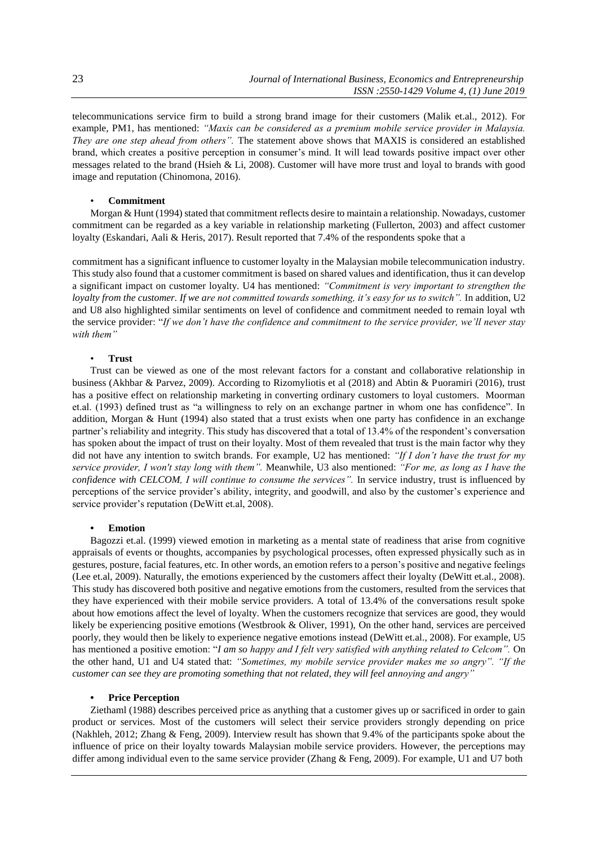telecommunications service firm to build a strong brand image for their customers (Malik et.al., 2012). For example, PM1, has mentioned: *"Maxis can be considered as a premium mobile service provider in Malaysia. They are one step ahead from others".* The statement above shows that MAXIS is considered an established brand, which creates a positive perception in consumer's mind. It will lead towards positive impact over other messages related to the brand (Hsieh & Li, 2008). Customer will have more trust and loyal to brands with good image and reputation (Chinomona, 2016).

## • **Commitment**

Morgan & Hunt (1994) stated that commitment reflects desire to maintain a relationship. Nowadays, customer commitment can be regarded as a key variable in relationship marketing (Fullerton, 2003) and affect customer loyalty (Eskandari, Aali & Heris, 2017). Result reported that 7.4% of the respondents spoke that a

commitment has a significant influence to customer loyalty in the Malaysian mobile telecommunication industry. This study also found that a customer commitment is based on shared values and identification, thus it can develop a significant impact on customer loyalty. U4 has mentioned: *"Commitment is very important to strengthen the loyalty from the customer. If we are not committed towards something, it's easy for us to switch"*. In addition, U2 and U8 also highlighted similar sentiments on level of confidence and commitment needed to remain loyal wth the service provider: "*If we don't have the confidence and commitment to the service provider, we'll never stay with them"*

#### • **Trust**

Trust can be viewed as one of the most relevant factors for a constant and collaborative relationship in business (Akhbar & Parvez, 2009). According to Rizomyliotis et al (2018) and Abtin & Puoramiri (2016), trust has a positive effect on relationship marketing in converting ordinary customers to loyal customers. Moorman et.al. (1993) defined trust as "a willingness to rely on an exchange partner in whom one has confidence". In addition, Morgan & Hunt (1994) also stated that a trust exists when one party has confidence in an exchange partner's reliability and integrity. This study has discovered that a total of 13.4% of the respondent's conversation has spoken about the impact of trust on their loyalty. Most of them revealed that trust is the main factor why they did not have any intention to switch brands. For example, U2 has mentioned: *"If I don't have the trust for my service provider, I won't stay long with them".* Meanwhile, U3 also mentioned: *"For me, as long as I have the confidence with CELCOM, I will continue to consume the services".* In service industry, trust is influenced by perceptions of the service provider's ability, integrity, and goodwill, and also by the customer's experience and service provider's reputation (DeWitt et.al, 2008).

#### **• Emotion**

Bagozzi et.al. (1999) viewed emotion in marketing as a mental state of readiness that arise from cognitive appraisals of events or thoughts, accompanies by psychological processes, often expressed physically such as in gestures, posture, facial features, etc. In other words, an emotion refers to a person's positive and negative feelings (Lee et.al, 2009). Naturally, the emotions experienced by the customers affect their loyalty (DeWitt et.al., 2008). This study has discovered both positive and negative emotions from the customers, resulted from the services that they have experienced with their mobile service providers. A total of 13.4% of the conversations result spoke about how emotions affect the level of loyalty. When the customers recognize that services are good, they would likely be experiencing positive emotions (Westbrook & Oliver, 1991), On the other hand, services are perceived poorly, they would then be likely to experience negative emotions instead (DeWitt et.al., 2008). For example, U5 has mentioned a positive emotion: "*I am so happy and I felt very satisfied with anything related to Celcom".* On the other hand, U1 and U4 stated that: *"Sometimes, my mobile service provider makes me so angry". "If the customer can see they are promoting something that not related, they will feel annoying and angry"*

#### **• Price Perception**

Ziethaml (1988) describes perceived price as anything that a customer gives up or sacrificed in order to gain product or services. Most of the customers will select their service providers strongly depending on price (Nakhleh, 2012; Zhang & Feng, 2009). Interview result has shown that 9.4% of the participants spoke about the influence of price on their loyalty towards Malaysian mobile service providers. However, the perceptions may differ among individual even to the same service provider (Zhang & Feng, 2009). For example, U1 and U7 both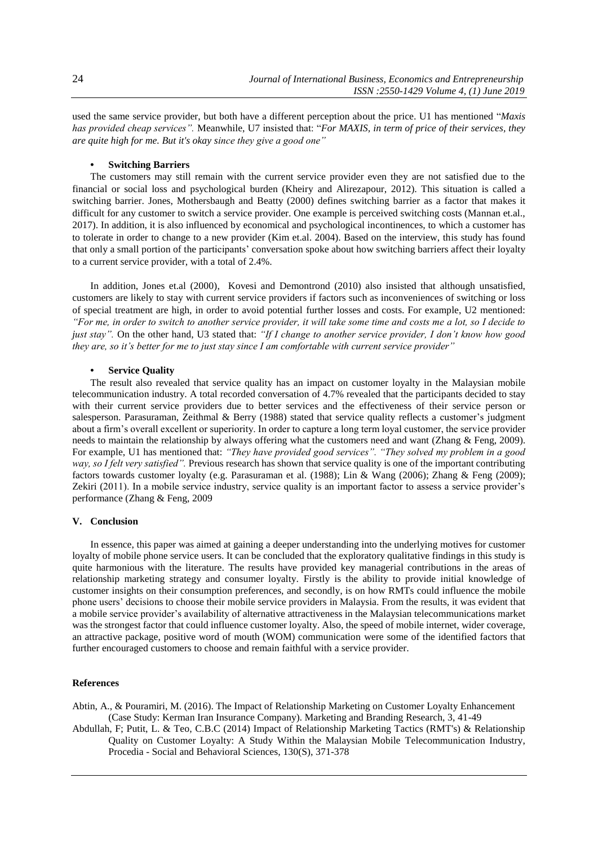used the same service provider, but both have a different perception about the price. U1 has mentioned "*Maxis has provided cheap services".* Meanwhile, U7 insisted that: "*For MAXIS, in term of price of their services, they are quite high for me. But it's okay since they give a good one"*

## **• Switching Barriers**

The customers may still remain with the current service provider even they are not satisfied due to the financial or social loss and psychological burden (Kheiry and Alirezapour, 2012). This situation is called a switching barrier. Jones, Mothersbaugh and Beatty (2000) defines switching barrier as a factor that makes it difficult for any customer to switch a service provider. One example is perceived switching costs (Mannan et.al., 2017). In addition, it is also influenced by economical and psychological incontinences, to which a customer has to tolerate in order to change to a new provider (Kim et.al. 2004). Based on the interview, this study has found that only a small portion of the participants' conversation spoke about how switching barriers affect their loyalty to a current service provider, with a total of 2.4%.

In addition, Jones et.al (2000), Kovesi and Demontrond (2010) also insisted that although unsatisfied, customers are likely to stay with current service providers if factors such as inconveniences of switching or loss of special treatment are high, in order to avoid potential further losses and costs. For example, U2 mentioned: *"For me, in order to switch to another service provider, it will take some time and costs me a lot, so I decide to just stay".* On the other hand, U3 stated that: *"If I change to another service provider, I don't know how good they are, so it's better for me to just stay since I am comfortable with current service provider"*

# **• Service Quality**

The result also revealed that service quality has an impact on customer loyalty in the Malaysian mobile telecommunication industry. A total recorded conversation of 4.7% revealed that the participants decided to stay with their current service providers due to better services and the effectiveness of their service person or salesperson. Parasuraman, Zeithmal & Berry (1988) stated that service quality reflects a customer's judgment about a firm's overall excellent or superiority. In order to capture a long term loyal customer, the service provider needs to maintain the relationship by always offering what the customers need and want (Zhang & Feng, 2009). For example, U1 has mentioned that: *"They have provided good services". "They solved my problem in a good way, so I felt very satisfied".* Previous research has shown that service quality is one of the important contributing factors towards customer loyalty (e.g. Parasuraman et al. (1988); Lin & Wang (2006); Zhang & Feng (2009); Zekiri (2011). In a mobile service industry, service quality is an important factor to assess a service provider's performance (Zhang & Feng, 2009

# **V. Conclusion**

In essence, this paper was aimed at gaining a deeper understanding into the underlying motives for customer loyalty of mobile phone service users. It can be concluded that the exploratory qualitative findings in this study is quite harmonious with the literature. The results have provided key managerial contributions in the areas of relationship marketing strategy and consumer loyalty. Firstly is the ability to provide initial knowledge of customer insights on their consumption preferences, and secondly, is on how RMTs could influence the mobile phone users' decisions to choose their mobile service providers in Malaysia. From the results, it was evident that a mobile service provider's availability of alternative attractiveness in the Malaysian telecommunications market was the strongest factor that could influence customer loyalty. Also, the speed of mobile internet, wider coverage, an attractive package, positive word of mouth (WOM) communication were some of the identified factors that further encouraged customers to choose and remain faithful with a service provider.

#### **References**

Abtin, A., & Pouramiri, M. (2016). The Impact of Relationship Marketing on Customer Loyalty Enhancement (Case Study: Kerman Iran Insurance Company). Marketing and Branding Research, 3, 41-49

Abdullah, F; Putit, L. & Teo, C.B.C (2014) [Impact of Relationship Marketing Tactics \(RMT's\) & Relationship](https://www.sciencedirect.com/science/article/pii/S1877042814029541)  [Quality on Customer Loyalty: A Study Within the Malaysian Mobile Telecommunication Industry,](https://www.sciencedirect.com/science/article/pii/S1877042814029541) Procedia - [Social and Behavioral Sciences,](https://www.sciencedirect.com/science/journal/18770428) [130\(](https://www.sciencedirect.com/science/journal/18770428/130/supp/C)S), 371-378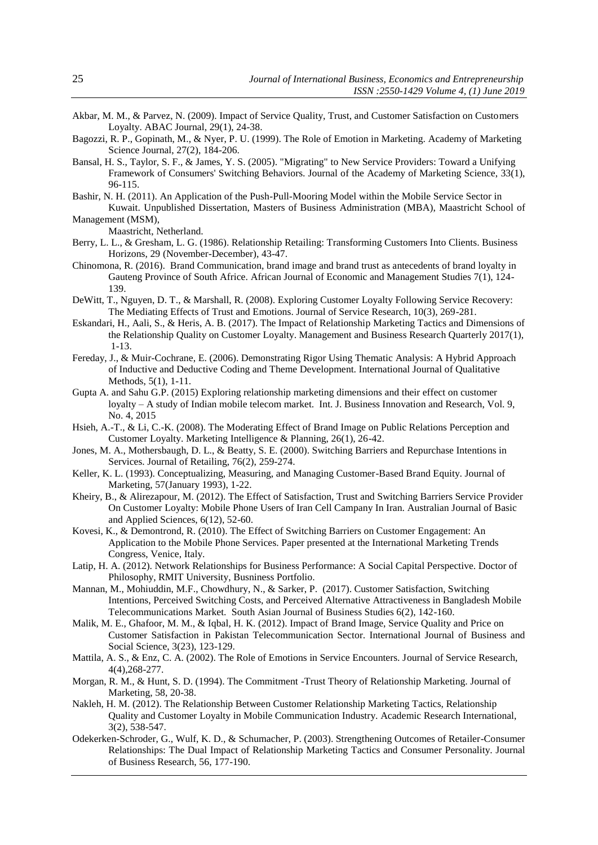- Akbar, M. M., & Parvez, N. (2009). Impact of Service Quality, Trust, and Customer Satisfaction on Customers Loyalty. ABAC Journal, 29(1), 24-38.
- Bagozzi, R. P., Gopinath, M., & Nyer, P. U. (1999). The Role of Emotion in Marketing. Academy of Marketing Science Journal, 27(2), 184-206.
- Bansal, H. S., Taylor, S. F., & James, Y. S. (2005). "Migrating" to New Service Providers: Toward a Unifying Framework of Consumers' Switching Behaviors. Journal of the Academy of Marketing Science, 33(1), 96-115.
- Bashir, N. H. (2011). An Application of the Push-Pull-Mooring Model within the Mobile Service Sector in Kuwait. Unpublished Dissertation, Masters of Business Administration (MBA), Maastricht School of Management (MSM),

Maastricht, Netherland.

- Berry, L. L., & Gresham, L. G. (1986). Relationship Retailing: Transforming Customers Into Clients. Business Horizons, 29 (November-December), 43-47.
- Chinomona, R. (2016). Brand Communication, brand image and brand trust as antecedents of brand loyalty in Gauteng Province of South Africe. African Journal of Economic and Management Studies 7(1), 124- 139.
- DeWitt, T., Nguyen, D. T., & Marshall, R. (2008). Exploring Customer Loyalty Following Service Recovery: The Mediating Effects of Trust and Emotions. Journal of Service Research, 10(3), 269-281.
- Eskandari, H., Aali, S., & Heris, A. B. (2017). The Impact of Relationship Marketing Tactics and Dimensions of the Relationship Quality on Customer Loyalty. Management and Business Research Quarterly 2017(1), 1-13.
- Fereday, J., & Muir-Cochrane, E. (2006). Demonstrating Rigor Using Thematic Analysis: A Hybrid Approach of Inductive and Deductive Coding and Theme Development. International Journal of Qualitative Methods, 5(1), 1-11.
- Gupta A. and Sahu G.P. (2015) Exploring relationship marketing dimensions and their effect on customer loyalty – A study of Indian mobile telecom market. Int. J. Business Innovation and Research, Vol. 9, No. 4, 2015
- Hsieh, A.-T., & Li, C.-K. (2008). The Moderating Effect of Brand Image on Public Relations Perception and Customer Loyalty. Marketing Intelligence & Planning, 26(1), 26-42.
- Jones, M. A., Mothersbaugh, D. L., & Beatty, S. E. (2000). Switching Barriers and Repurchase Intentions in Services. Journal of Retailing, 76(2), 259-274.
- Keller, K. L. (1993). Conceptualizing, Measuring, and Managing Customer-Based Brand Equity. Journal of Marketing, 57(January 1993), 1-22.
- Kheiry, B., & Alirezapour, M. (2012). The Effect of Satisfaction, Trust and Switching Barriers Service Provider On Customer Loyalty: Mobile Phone Users of Iran Cell Campany In Iran. Australian Journal of Basic and Applied Sciences, 6(12), 52-60.
- Kovesi, K., & Demontrond, R. (2010). The Effect of Switching Barriers on Customer Engagement: An Application to the Mobile Phone Services. Paper presented at the International Marketing Trends Congress, Venice, Italy.
- Latip, H. A. (2012). Network Relationships for Business Performance: A Social Capital Perspective. Doctor of Philosophy, RMIT University, Busniness Portfolio.
- Mannan, M., Mohiuddin, M.F., Chowdhury, N., & Sarker, P. (2017). Customer Satisfaction, Switching Intentions, Perceived Switching Costs, and Perceived Alternative Attractiveness in Bangladesh Mobile Telecommunications Market. South Asian Journal of Business Studies 6(2), 142-160.
- Malik, M. E., Ghafoor, M. M., & Iqbal, H. K. (2012). Impact of Brand Image, Service Quality and Price on Customer Satisfaction in Pakistan Telecommunication Sector. International Journal of Business and Social Science, 3(23), 123-129.
- Mattila, A. S., & Enz, C. A. (2002). The Role of Emotions in Service Encounters. Journal of Service Research, 4(4),268-277.
- Morgan, R. M., & Hunt, S. D. (1994). The Commitment -Trust Theory of Relationship Marketing. Journal of Marketing, 58, 20-38.
- Nakleh, H. M. (2012). The Relationship Between Customer Relationship Marketing Tactics, Relationship Quality and Customer Loyalty in Mobile Communication Industry. Academic Research International, 3(2), 538-547.
- Odekerken-Schroder, G., Wulf, K. D., & Schumacher, P. (2003). Strengthening Outcomes of Retailer-Consumer Relationships: The Dual Impact of Relationship Marketing Tactics and Consumer Personality. Journal of Business Research, 56, 177-190.